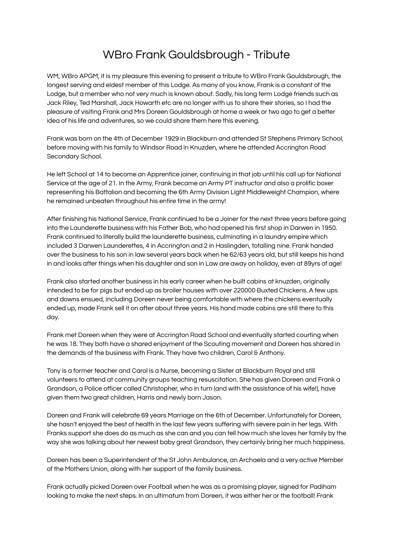## WBro Frank Gouldsbrough - Tribute

WM, WBro APGM, it is my pleasure this evening to present a tribute to WBro Frank Gouldsbrough, the longest serving and eldest member of this Lodge. As many of you know, Frank is a constant of the Lodge, but a member who not very much is known about. Sadly, his long term Lodge friends such as Jack Riley, Ted Marshall, Jack Howarth etc are no longer with us to share their stories, so I had the pleasure of visiting Frank and Mrs Doreen Gouldsbrough at home a week or two ago to get a better idea of his life and adventures, so we could share them here this evening.

Frank was born on the 4th of December 1929 in Blackburn and attended St Stephens Primary School, before moving with his family to Windsor Road in Knuzden, where he attended Accrington Road Secondary School.

He left School at 14 to become an Apprentice joiner, continuing in that job until his call up for National Service at the age of 21. In the Army, Frank became an Army PT instructor and also a prolific boxer representing his Battalion and becoming the 6th Army Division Light Middleweight Champion, where he remained unbeaten throughout his entire time in the army!

After finishing his National Service, Frank continued to be a Joiner for the next three years before going into the Launderette business with his Father Bob, who had opened his first shop in Darwen in 1950. Frank continued to literally build the launderette business, culminating in a laundry empire which included 3 Darwen Launderettes, 4 in Accrington and 2 in Haslingden, totalling nine. Frank handed over the business to his son in law several years back when he 62/63 years old, but still keeps his hand in and looks after things when his daughter and son in Law are away on holiday, even at 89yrs of age!

Frank also started another business in his early career when he built cabins at knuzden, originally intended to be for pigs but ended up as broiler houses with over 220000 Buxted Chickens. A few ups and downs ensued, including Doreen never being comfortable with where the chickens eventually ended up, made Frank sell it on after about three years. His hand made cabins are still there to this day.

Frank met Doreen when they were at Accrington Road School and eventually started courting when he was 18. They both have a shared enjoyment of the Scouting movement and Doreen has shared in the demands of the business with Frank. They have two children, Carol & Anthony.

Tony is a former teacher and Carol is a Nurse, becoming a Sister at Blackburn Royal and still volunteers to attend at community groups teaching resuscitation. She has given Doreen and Frank a Grandson, a Police officer called Christopher, who in turn (and with the assistance of his wife!), have given them two great children, Harris and newly born Jason.

Doreen and Frank will celebrate 69 years Marriage on the 6th of December. Unfortunately for Doreen, she hasn't enjoyed the best of health in the last few years suffering with severe pain in her legs. With Franks support she does do as much as she can and you can tell how much she loves her family by the way she was talking about her newest baby great Grandson, they certainly bring her much happiness.

Doreen has been a Superintendent of the St John Ambulance, an Archaela and a very active Member of the Mothers Union, along with her support of the family business.

Frank actually picked Doreen over Football when he was as a promising player, signed for Padiham looking to make the next steps. In an ultimatum from Doreen, it was either her or the football! Frank